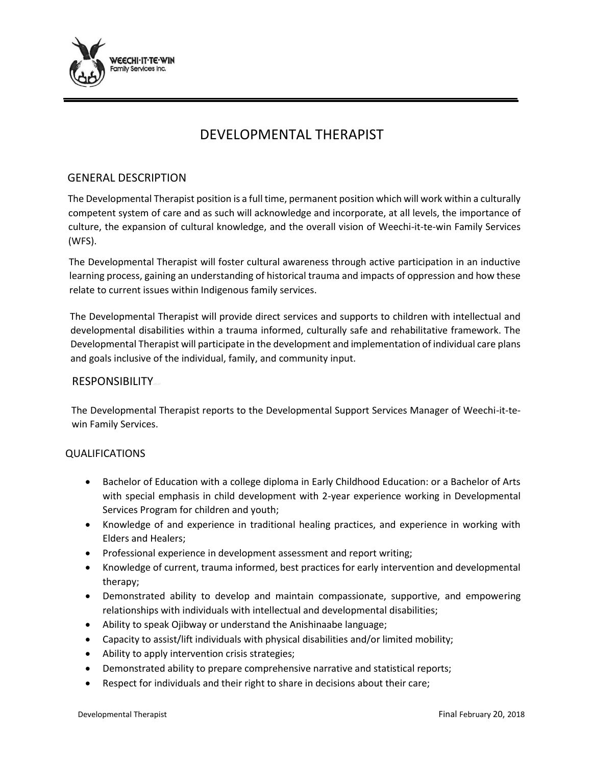

# DEVELOPMENTAL THERAPIST

## GENERAL DESCRIPTION

The Developmental Therapist position is a full time, permanent position which will work within a culturally competent system of care and as such will acknowledge and incorporate, at all levels, the importance of culture, the expansion of cultural knowledge, and the overall vision of Weechi-it-te-win Family Services (WFS).

The Developmental Therapist will foster cultural awareness through active participation in an inductive learning process, gaining an understanding of historical trauma and impacts of oppression and how these relate to current issues within Indigenous family services.

The Developmental Therapist will provide direct services and supports to children with intellectual and developmental disabilities within a trauma informed, culturally safe and rehabilitative framework. The Developmental Therapist will participate in the development and implementation of individual care plans and goals inclusive of the individual, family, and community input.

### RESPONSIBILITY

The Developmental Therapist reports to the Developmental Support Services Manager of Weechi-it-tewin Family Services.

#### QUALIFICATIONS

- Bachelor of Education with a college diploma in Early Childhood Education: or a Bachelor of Arts with special emphasis in child development with 2-year experience working in Developmental Services Program for children and youth;
- Knowledge of and experience in traditional healing practices, and experience in working with Elders and Healers;
- Professional experience in development assessment and report writing;
- Knowledge of current, trauma informed, best practices for early intervention and developmental therapy;
- Demonstrated ability to develop and maintain compassionate, supportive, and empowering relationships with individuals with intellectual and developmental disabilities;
- Ability to speak Ojibway or understand the Anishinaabe language;
- Capacity to assist/lift individuals with physical disabilities and/or limited mobility;
- Ability to apply intervention crisis strategies;
- Demonstrated ability to prepare comprehensive narrative and statistical reports;
- Respect for individuals and their right to share in decisions about their care;